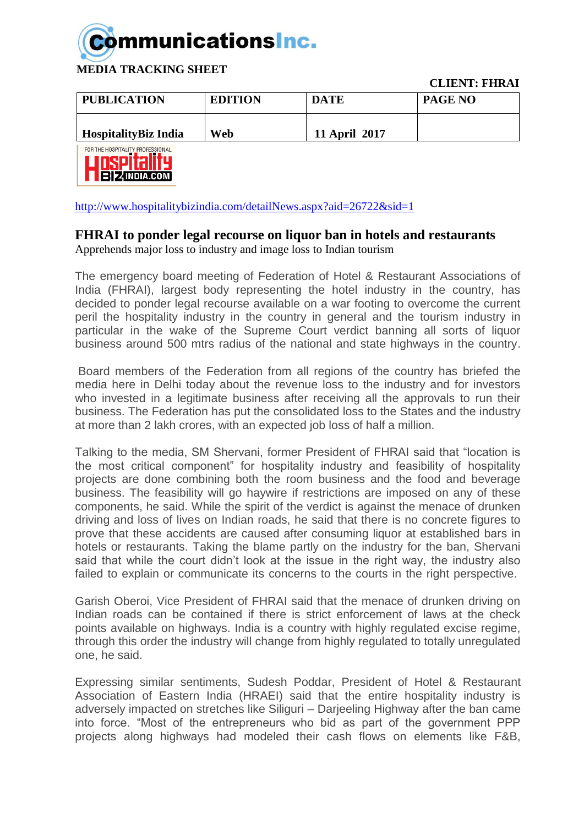

 **CLIENT: FHRAI**

| <b>PUBLICATION</b>          | <b>EDITION</b> | <b>DATE</b>   | <b>PAGE NO</b> |
|-----------------------------|----------------|---------------|----------------|
| <b>HospitalityBiz India</b> | Web            | 11 April 2017 |                |



<http://www.hospitalitybizindia.com/detailNews.aspx?aid=26722&sid=1>

## **FHRAI to ponder legal recourse on liquor ban in hotels and restaurants**

Apprehends major loss to industry and image loss to Indian tourism

The emergency board meeting of Federation of Hotel & Restaurant Associations of India (FHRAI), largest body representing the hotel industry in the country, has decided to ponder legal recourse available on a war footing to overcome the current peril the hospitality industry in the country in general and the tourism industry in particular in the wake of the Supreme Court verdict banning all sorts of liquor business around 500 mtrs radius of the national and state highways in the country.

Board members of the Federation from all regions of the country has briefed the media here in Delhi today about the revenue loss to the industry and for investors who invested in a legitimate business after receiving all the approvals to run their business. The Federation has put the consolidated loss to the States and the industry at more than 2 lakh crores, with an expected job loss of half a million.

Talking to the media, SM Shervani, former President of FHRAI said that "location is the most critical component" for hospitality industry and feasibility of hospitality projects are done combining both the room business and the food and beverage business. The feasibility will go haywire if restrictions are imposed on any of these components, he said. While the spirit of the verdict is against the menace of drunken driving and loss of lives on Indian roads, he said that there is no concrete figures to prove that these accidents are caused after consuming liquor at established bars in hotels or restaurants. Taking the blame partly on the industry for the ban, Shervani said that while the court didn't look at the issue in the right way, the industry also failed to explain or communicate its concerns to the courts in the right perspective.

Garish Oberoi, Vice President of FHRAI said that the menace of drunken driving on Indian roads can be contained if there is strict enforcement of laws at the check points available on highways. India is a country with highly regulated excise regime, through this order the industry will change from highly regulated to totally unregulated one, he said.

Expressing similar sentiments, Sudesh Poddar, President of Hotel & Restaurant Association of Eastern India (HRAEI) said that the entire hospitality industry is adversely impacted on stretches like Siliguri – Darjeeling Highway after the ban came into force. "Most of the entrepreneurs who bid as part of the government PPP projects along highways had modeled their cash flows on elements like F&B,